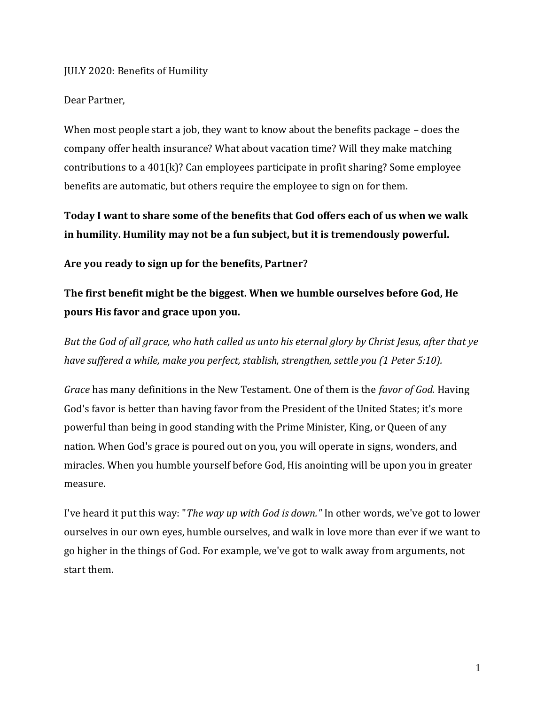### JULY 2020: Benefits of Humility

#### Dear Partner,

When most people start a job, they want to know about the benefits package – does the company offer health insurance? What about vacation time? Will they make matching contributions to a  $401(k)$ ? Can employees participate in profit sharing? Some employee benefits are automatic, but others require the employee to sign on for them.

**Today I want to share some of the benefits that God offers each of us when we walk in humility. Humility may not be a fun subject, but it is tremendously powerful.**

**Are you ready to sign up for the benefits, Partner?**

## **The first benefit might be the biggest. When we humble ourselves before God, He pours His favor and grace upon you.**

*But the God of all grace, who hath called us unto his eternal glory by Christ Jesus, after that ye have suffered a while, make you perfect, stablish, strengthen, settle you (1 Peter 5:10).*

*Grace* has many definitions in the New Testament. One of them is the *favor of God.* Having God's favor is better than having favor from the President of the United States; it's more powerful than being in good standing with the Prime Minister, King, or Queen of any nation. When God's grace is poured out on you, you will operate in signs, wonders, and miracles. When you humble yourself before God, His anointing will be upon you in greater measure.

I've heard it put this way: "*The way up with God is down."* In other words, we've got to lower ourselves in our own eyes, humble ourselves, and walk in love more than ever if we want to go higher in the things of God. For example, we've got to walk away from arguments, not start them.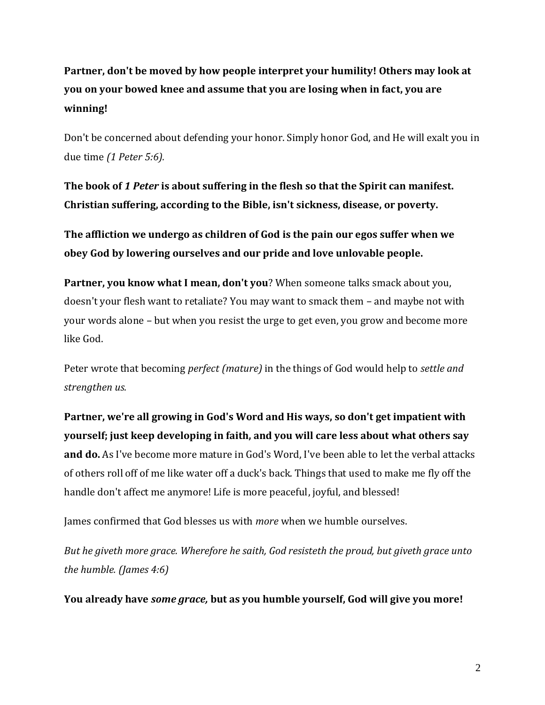**Partner, don't be moved by how people interpret your humility! Others may look at you on your bowed knee and assume that you are losing when in fact, you are winning!** 

Don't be concerned about defending your honor. Simply honor God, and He will exalt you in due time *(1 Peter 5:6).*

**The book of** *1 Peter* **is about suffering in the flesh so that the Spirit can manifest. Christian suffering, according to the Bible, isn't sickness, disease, or poverty.**

**The affliction we undergo as children of God is the pain our egos suffer when we obey God by lowering ourselves and our pride and love unlovable people.** 

**Partner, you know what I mean, don't you**? When someone talks smack about you, doesn't your flesh want to retaliate? You may want to smack them – and maybe not with your words alone – but when you resist the urge to get even, you grow and become more like God.

Peter wrote that becoming *perfect (mature)* in the things of God would help to *settle and strengthen us.*

**Partner, we're all growing in God's Word and His ways, so don't get impatient with yourself; just keep developing in faith, and you will care less about what others say and do.** As I've become more mature in God's Word, I've been able to let the verbal attacks of others roll off of me like water off a duck's back. Things that used to make me fly off the handle don't affect me anymore! Life is more peaceful, joyful, and blessed!

James confirmed that God blesses us with *more* when we humble ourselves.

*But he giveth more grace. Wherefore he saith, God resisteth the proud, but giveth grace unto the humble. (James 4:6)*

**You already have** *some grace,* **but as you humble yourself, God will give you more!**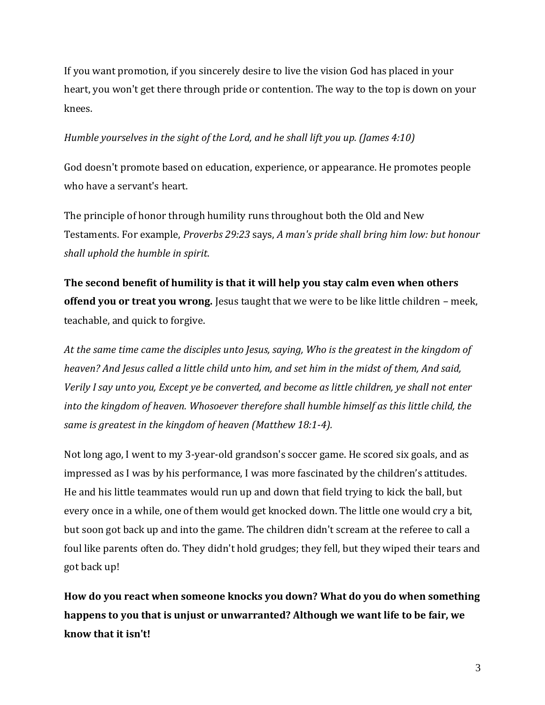If you want promotion, if you sincerely desire to live the vision God has placed in your heart, you won't get there through pride or contention. The way to the top is down on your knees.

### *Humble yourselves in the sight of the Lord, and he shall lift you up. (James 4:10)*

God doesn't promote based on education, experience, or appearance. He promotes people who have a servant's heart.

The principle of honor through humility runs throughout both the Old and New Testaments. For example, *Proverbs 29:23* says, *A man's pride shall bring him low: but honour shall uphold the humble in spirit*.

**The second benefit of humility is that it will help you stay calm even when others offend you or treat you wrong.** Jesus taught that we were to be like little children – meek, teachable, and quick to forgive.

*At the same time came the disciples unto Jesus, saying, Who is the greatest in the kingdom of heaven? And Jesus called a little child unto him, and set him in the midst of them, And said, Verily I say unto you, Except ye be converted, and become as little children, ye shall not enter into the kingdom of heaven. Whosoever therefore shall humble himself as this little child, the same is greatest in the kingdom of heaven (Matthew 18:1-4).*

Not long ago, I went to my 3-year-old grandson's soccer game. He scored six goals, and as impressed as I was by his performance, I was more fascinated by the children's attitudes. He and his little teammates would run up and down that field trying to kick the ball, but every once in a while, one of them would get knocked down. The little one would cry a bit, but soon got back up and into the game. The children didn't scream at the referee to call a foul like parents often do. They didn't hold grudges; they fell, but they wiped their tears and got back up!

**How do you react when someone knocks you down? What do you do when something happens to you that is unjust or unwarranted? Although we want life to be fair, we know that it isn't!**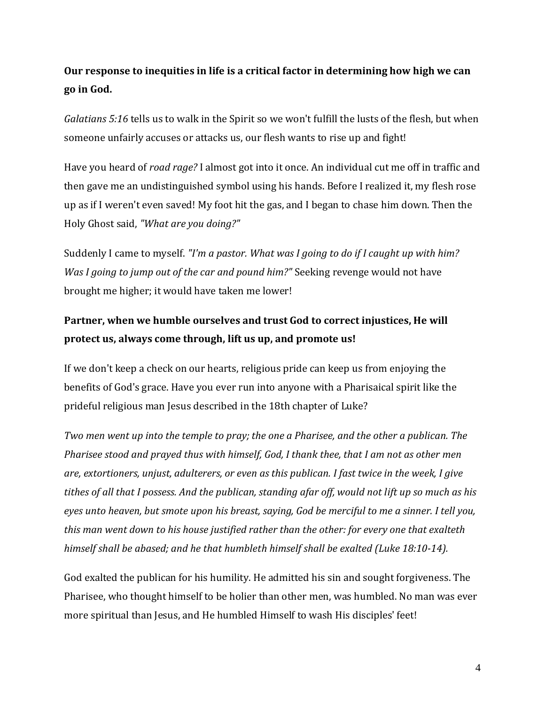# **Our response to inequities in life is a critical factor in determining how high we can go in God.**

*Galatians 5:16* tells us to walk in the Spirit so we won't fulfill the lusts of the flesh, but when someone unfairly accuses or attacks us, our flesh wants to rise up and fight!

Have you heard of *road rage?* I almost got into it once. An individual cut me off in traffic and then gave me an undistinguished symbol using his hands. Before I realized it, my flesh rose up as if I weren't even saved! My foot hit the gas, and I began to chase him down. Then the Holy Ghost said, *"What are you doing?"* 

Suddenly I came to myself. *"I'm a pastor. What was I going to do if I caught up with him? Was I going to jump out of the car and pound him?"* Seeking revenge would not have brought me higher; it would have taken me lower!

## **Partner, when we humble ourselves and trust God to correct injustices, He will protect us, always come through, lift us up, and promote us!**

If we don't keep a check on our hearts, religious pride can keep us from enjoying the benefits of God's grace. Have you ever run into anyone with a Pharisaical spirit like the prideful religious man Jesus described in the 18th chapter of Luke?

*Two men went up into the temple to pray; the one a Pharisee, and the other a publican. The Pharisee stood and prayed thus with himself, God, I thank thee, that I am not as other men are, extortioners, unjust, adulterers, or even as this publican. I fast twice in the week, I give tithes of all that I possess. And the publican, standing afar off, would not lift up so much as his eyes unto heaven, but smote upon his breast, saying, God be merciful to me a sinner. I tell you, this man went down to his house justified rather than the other: for every one that exalteth himself shall be abased; and he that humbleth himself shall be exalted (Luke 18:10-14).*

God exalted the publican for his humility. He admitted his sin and sought forgiveness. The Pharisee, who thought himself to be holier than other men, was humbled. No man was ever more spiritual than Jesus, and He humbled Himself to wash His disciples' feet!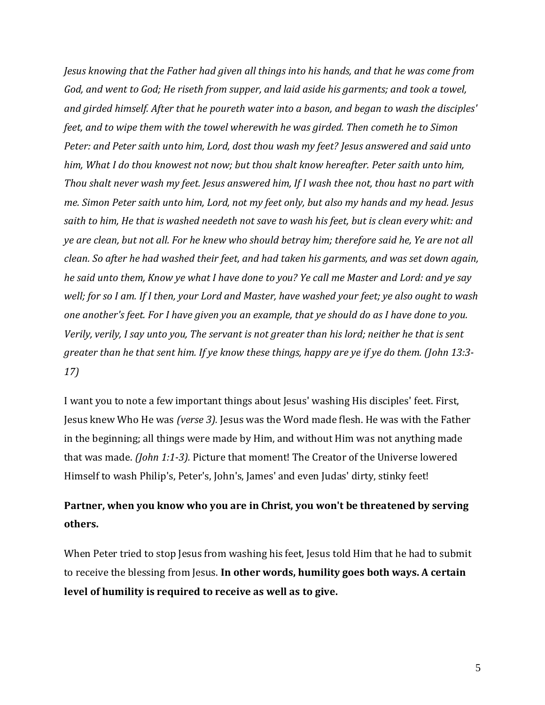*Jesus knowing that the Father had given all things into his hands, and that he was come from God, and went to God; He riseth from supper, and laid aside his garments; and took a towel, and girded himself. After that he poureth water into a bason, and began to wash the disciples' feet, and to wipe them with the towel wherewith he was girded. Then cometh he to Simon Peter: and Peter saith unto him, Lord, dost thou wash my feet? Jesus answered and said unto him, What I do thou knowest not now; but thou shalt know hereafter. Peter saith unto him, Thou shalt never wash my feet. Jesus answered him, If I wash thee not, thou hast no part with me. Simon Peter saith unto him, Lord, not my feet only, but also my hands and my head. Jesus saith to him, He that is washed needeth not save to wash his feet, but is clean every whit: and ye are clean, but not all. For he knew who should betray him; therefore said he, Ye are not all clean. So after he had washed their feet, and had taken his garments, and was set down again, he said unto them, Know ye what I have done to you? Ye call me Master and Lord: and ye say well; for so I am. If I then, your Lord and Master, have washed your feet; ye also ought to wash one another's feet. For I have given you an example, that ye should do as I have done to you. Verily, verily, I say unto you, The servant is not greater than his lord; neither he that is sent greater than he that sent him. If ye know these things, happy are ye if ye do them. (John 13:3- 17)*

I want you to note a few important things about Jesus' washing His disciples' feet. First, Jesus knew Who He was *(verse 3).* Jesus was the Word made flesh. He was with the Father in the beginning; all things were made by Him, and without Him was not anything made that was made. *(John 1:1-3).* Picture that moment! The Creator of the Universe lowered Himself to wash Philip's, Peter's, John's, James' and even Judas' dirty, stinky feet!

### **Partner, when you know who you are in Christ, you won't be threatened by serving others.**

When Peter tried to stop Jesus from washing his feet, Jesus told Him that he had to submit to receive the blessing from Jesus. **In other words, humility goes both ways. A certain level of humility is required to receive as well as to give.**